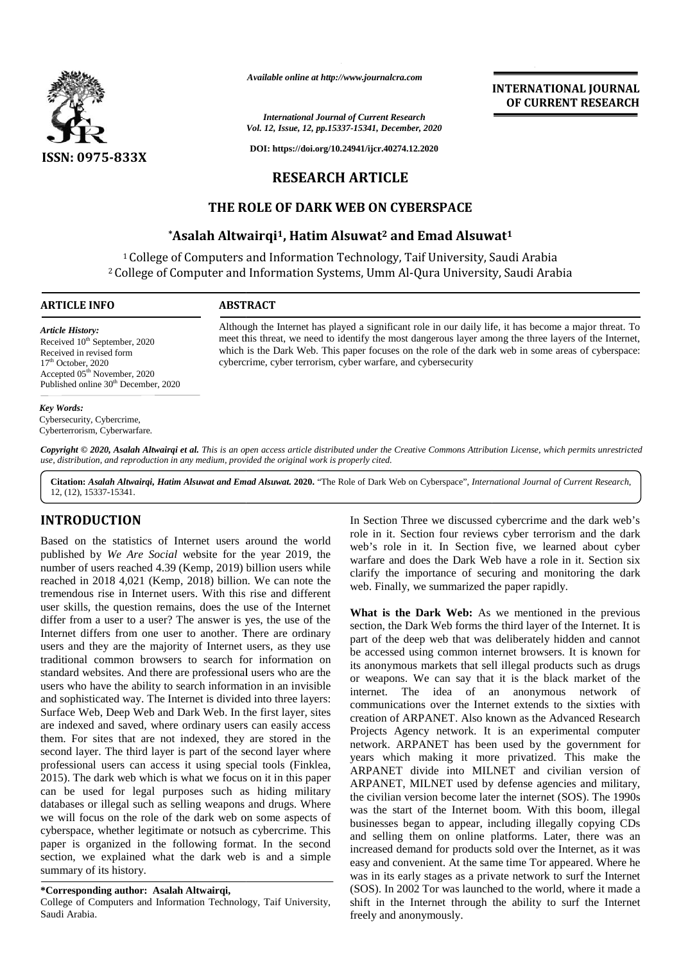

*Available online at http://www.journalcra.com*

*International Journal of Current Research Vol. 12, Issue, 12, pp.15337-15341, December, 2020*

**DOI: https://doi.org/10.24941/ijcr.40274.12.2020**

# **RESEARCH ARTICLE**

## **THE ROLE OF DARK WEB ON CYBERSPACE ROLE OF**

## **\*Asalah Altwairqi1, Hatim Alsuwat<sup>2</sup> and Emad Alsuwat<sup>1</sup> 1, and**

<sup>1</sup>College of Computers and Information Technology, Taif University, Saudi Arabia <sup>1</sup> College of Computers and Information Technology, Taif University, Saudi Arabia<br>2 College of Computer and Information Systems, Umm Al-Qura University, Saudi Arabia

#### **ARTICLE INFO ABSTRACT ARTICLE ABSTRACT**

*Article History:* Received 10<sup>th</sup> September, 2020 Received in revised form  $17<sup>th</sup>$  October, 2020  $Accepted 05<sup>th</sup> November, 2020$ Published online  $30<sup>th</sup>$  December, 2020

#### *Key Words:*

Cybersecurity, Cybercrime, Cyberterrorism, Cyberwarfare.

Although the Internet has played a significant role in our daily life, it has become a major threat. To meet this threat, we need to identify the most dangerous layer among the three layers of the Internet, which is the Dark Web. This paper focuses on the role of the dark web in some areas of cyberspace: cybercrime, cyber terrorism, cyber warfare, and cybersecurity Although the Internet has played a significant role in our daily life, it has become a major threat. To meet this threat, we need to identify the most dangerous layer among the three layers of the Internet, which is the Da Available online at http://www.journalcra.com<br>
Maternational Journal of Current Research<br>
Vol. 12, Issue, 12, pp.5337-15341, December, 2020<br>
ISSN: 0975-833X<br>
DOI: https://doi.org/10.24941/igr.40274.12.2020<br>
ISSN: 0975-833X

**Copyright © 2020, Asalah Altwairqi et al.** This is an open access article distributed under the Creative Commons Attribution License, which permits unrestricted<br>use, distribution, and reproduction in any medium, provided *use, distribution, and reproduction in any medium, provided the original work is properly cited.*

**Citation:** *Asalah Altwairqi, Hatim Alsuwat and Emad Alsuwat.* **2020.** "The Role of Dark Web on Cyberspace", *International Journal of Current Research*, 12, (12), 15337-15341.

## **INTRODUCTION INTRODUCTION**

Based on the statistics of Internet users around the world published by *We Are Social* website for the year 2019, the were number of users reached 4.39 (Kemp, 2019) billion users while reached in 2018 4,021 (Kemp, 2018) billion. We can note the tremendous rise in Internet users. With this rise and different user skills, the question remains, does the use of the Internet differ from a user to a user? The answer is yes, the use of the Internet differs from one user to another. There are ordinary Internet differs from one user to another. There are ordinary part users and they are the majority of Internet users, as they use traditional common browsers to search for information on standard websites. And there are professional users who are the users who have the ability to search information in an invisible and sophisticated way. The Internet is divided into three layers: Surface Web, Deep Web and Dark Web. In the first layer, sites are indexed and saved, where ordinary users can easily access them. For sites that are not indexed, they are stored in the second layer. The third layer is part of the second layer where professional users can access it using special tools (Finklea, 2015). The dark web which is what we focus on it in this paper can be used for legal purposes such as hiding military databases or illegal such as selling weapons and drugs. Where we will focus on the role of the dark web on some aspects of cyberspace, whether legitimate or notsuch as cybercrime. This paper is organized in the following format. In the second section, we explained what the dark web is and a simple summary of its history. Based on the statistics of Internet users around the world<br>published by We Are Social website for the year 2019, the<br>number of users reached 4.39 (Kemp, 2019) billion users while<br>reached in 2018 4,021 (Kemp, 2018) billion traditional common browsers to search for information on<br>standard websites. And there are professional users who are the<br>users who have the ability to search information in an invisible<br>and sophisticated way. The Internet paper is organized in the following<br>section, we explained what the dark<br>summary of its history. id website for the year 2019, the<br>
id website for the year 2019, the<br>
and 39 (Kemp, 2019) billion users while<br>
elarify the<br>
tures. With this rise and different<br>
r? The answer is yes, the use of the Internet<br>
r? The answer

#### **\*Corresponding author: Asalah Altwairqi, \*Corresponding**

College of Computers and Information Technology, Taif University,<br>Saudi Arabia. Saudi Arabia.

In Section Three we discussed cybercrime and the dark web's role in it. Section four reviews cyber terrorism and the dark web's role in it. In Section five, we learned about cyber warfare and does the Dark Web have a role in it. Section six warfare and does the Dark Web have a role in it. Section six clarify the importance of securing and monitoring the dark web. Finally, we summarized the paper rapidly.

**INTERNATIONAL JOURNAL OF CURRENT RESEARCH**

**What is the Dark Web:** As we mentioned in the previous section, the Dark Web forms the third layer of the Internet. It is part of the deep web that was deliberately hidden and cannot be accessed using common internet browsers. It is known for its anonymous markets that sell illegal products such as drugs or weapons. We can say that it is the black market of the internet. The idea of an anonymous network of communications over the Internet extends to the sixties with creation of ARPANET. Also known as the Advanced Research Projects Agency network. It is an experimental computer network. ARPANET has been used by the government for years which making it more privatized. This make the ARPANET divide into MILNET and civilian version of ARPANET, MILNET used by defense agencies and military, the civilian version become later the internet (SOS). The 1990s was the start of the Internet boom. With this boom, illegal businesses began to appear, including illegally copying CDs and selling them on online platforms. Later, there was an increased demand for products sold over the Internet, as it was easy and convenient. At the same time Tor appeared. Where he was in its early stages as a private network to surf the Internet (SOS). In 2002 Tor was launched to the world, where it made a shift in the Internet through the ability to surf the Internet freely and anonymously. **33X**<br>
The *Institute of the properties* (*Same Lage Little Research*)<br> **ICEOUS COLUMBERT RESTARCII**<br> **ICEOUS COLUMBERT ARTICLE**<br> **ICEOUS COLUMBERT ARTICLE**<br> **ICEOUS COLUMBERT ARTICLE**<br> **ICEOUS COLUMBERT ARTICLE**<br> **ICEOUS INTERNATIC**<br> **INTERNATIC**<br> **INTERNATIC OF CURRE<br>
<b>INTERNATIC OF CURRE**<br> **INTERNATIC OF CURRE**<br> **INTERNATIC OF CURRE**<br> **INTERNATIC AND AND ADMIGMAL AND ADMIGMAL AND ADMIGMAL AND ADMIGMAL AND <b>INTERNATICE WEB ON CYBERSPACE**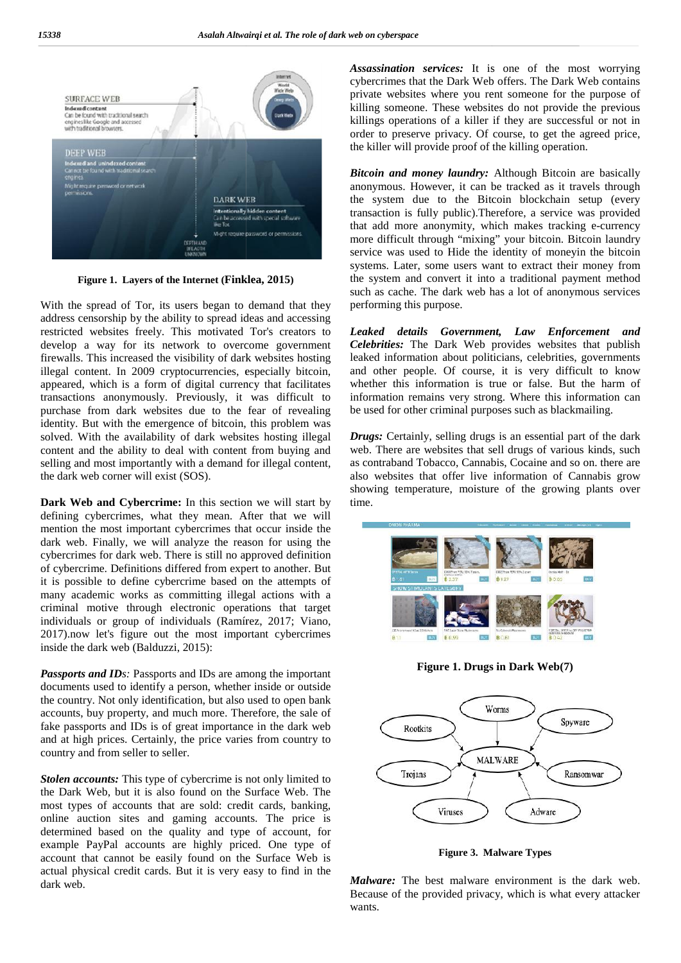

**Figure 1. Layers of the Internet (Finklea, 2015) 1.of the (Finklea,** 

With the spread of Tor, its users began to demand that they address censorship by the ability to spread ideas and accessing restricted websites freely. This motivated Tor's creators to develop a way for its network to overcome government firewalls. This increased the visibility of dark websites hosting firewalls. This increased the visibility of dark websites hosting lillegal content. In 2009 cryptocurrencies, especially bitcoin, appeared, which is a form of digital currency that facilitates transactions anonymously. Previously, it was difficult to purchase from dark websites due to the fear of revealing identity. But with the emergence of bitcoin, this problem was solved. With the availability of dark websites hosting illegal content and the ability to deal with content from buying and appeared, which is a form of digital currency that facilitates<br>transactions anonymously. Previously, it was difficult to<br>purchase from dark websites due to the fear of revealing<br>identity. But with the emergence of bitcoin, the dark web corner will exist (SOS). With the spread of Tor, its users began to demand that they<br>address censorship by the ability to spread ideas and accessing<br>restricted websites freely. This motivated Tor's creators to<br>develop a way for its network to over

**Dark Web and Cybercrime:** In this section we will start by time.<br>defining cybercrimes, what they mean. After that we will defining cybercrimes, what they mean. After that we will mention the most important cybercrimes that occur inside the dark web. Finally, we will analyze the reason for using the cybercrimes for dark web. There is still no approved definition of cybercrime. Definitions differed from expert to another. But it is possible to define cybercrime based on the attempts of many academic works as committing illegal actions with a it is possible to define cybercrime based on the attempts of many academic works as committing illegal actions with a criminal motive through electronic operations that target individuals or group of individuals (Ramírez, 2017; Viano, 2017).now let's figure out the most important cybercrimes inside the dark web (Balduzzi, 2015): mention the most important cybercrimes that occur inside the dark web. Finally, we will analyze the reason for using the cybercrimes for dark web. There is still no approved definition of cybercrime. Definitions differed f individuals or group of<br>2017).now let's figure of<br>inside the dark web (Bald

*Passports and IDs:* Passports and IDs are among the important *Passports and* documents used to identify a person, whether inside or outside the country. Not only identification, but also used to open bank accounts, buy property, and much more. Therefore, the sale of fake passports and IDs is of great importance in the dark web and at high prices. Certainly, the price varies from country to country and from seller to seller. documents used to identify a person, whether inside or out<br>the country. Not only identification, but also used to open l<br>accounts, buy property, and much more. Therefore, the sa<br>fake passports and IDs is of great importanc

*Stolen accounts:* This type of cybercrime is not only limited to the Dark Web, but it is also found on the Surface Web. The most types of accounts that are sold: credit cards, banking, online auction sites and gaming accounts. The price is determined based on the quality and type of account, for **Stolen accounts:** This type of cybercrime is not only limited to the Dark Web, but it is also found on the Surface Web. The most types of accounts that are sold: credit cards, banking, online auction sites and gaming acco account that cannot be easily found on the Surface Web is actual physical credit cards. But it is very easy to find in the dark web.

*Assassination services:* It is one of the most worrying cybercrimes that the Dark Web offers. The Dark Web contains private websites where you rent someone for the purpose of killing someone. These websites do not provide the previous killings operations of a killer if they are successful or not in order to preserve privacy. Of course, to get the agreed price, the killer will provide proof of the killing operation.

*Bitcoin and money laundry:* Although Bitcoin are basically anonymous. However, it can be tracked as it travels through the system due to the Bitcoin blockchain setup (every transaction is fully public).Therefore, a service was provided that add more anonymity, which makes tracking e-currency more difficult through "mixing" your bitcoin. Bitcoin laundry service was used to Hide the identity of moneyin the bitcoin systems. Later, some users want to extract their money from the system and convert it into a traditional payment method such as cache. The dark web has a lot of anonymous services performing this purpose. Iowever, it can be tracked as it travels through<br>Iue to the Bitcoin blockchain setup (every<br>fully public).Therefore, a service was provided<br>anonymity, which makes tracking e-currency ice was used to Hide the identity of moneyin the bitcoin<br>ems. Later, some users want to extract their money from<br>system and convert it into a traditional payment method<br>a as cache. The dark web has a lot of anonymous servi

*Leaked details Government, Law Enforcement and details Enforcement Celebrities:* The Dark Web provides websites that publish leaked information about politicians, celebrities, governments and other people. Of course, it is very difficult to know whether this information is true or false. But the harm of information remains very strong. Where this information can be used for other criminal purposes such as blackmailing. information about politicians, celebrities, governments<br>her people. Of course, it is very difficult to know<br>r this information is true or false. But the harm of<br>tion remains very strong. Where this information can<br>for othe

*Drugs:* Certainly, selling drugs is an essential part of the dark web. There are websites that sell drugs of various kinds, such as contraband Tobacco, Cannabis, Cocaine and so on. there are also websites that offer live information of Cannabis grow web. There are websites that sell drugs of various kinds, such as contraband Tobacco, Cannabis, Cocaine and so on. there are also websites that offer live information of Cannabis grow showing temperature, moisture of the g time.



**Figure 1. Drugs in Dark Web(7)** 



**Figure 3. Malware Types**

*Malware:* The best malware environment is the dark web. Because of the provided privacy, which is what every attacker wants.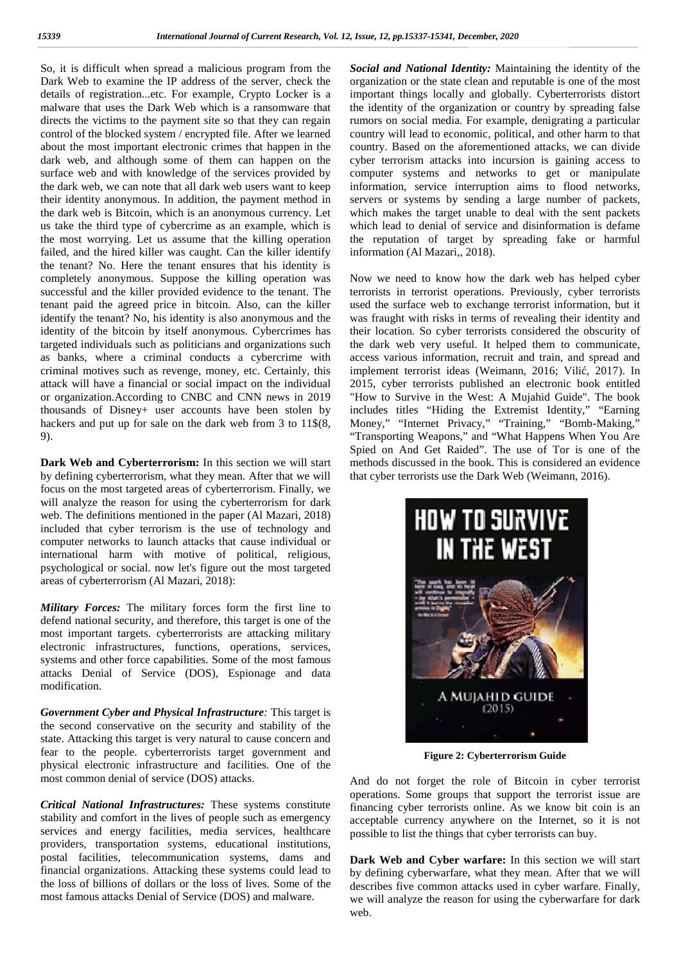So, it is difficult when spread a malicious program from the Dark Web to examine the IP address of the server, check the details of registration...etc. For example, Crypto Locker is a malware that uses the Dark Web which is a ransomware that directs the victims to the payment site so that they can regain control of the blocked system / encrypted file. After we learned about the most important electronic crimes that happen in the dark web, and although some of them can happen on the surface web and with knowledge of the services provided by the dark web, we can note that all dark web users want to keep their identity anonymous. In addition, the payment method in the dark web is Bitcoin, which is an anonymous currency. Let us take the third type of cybercrime as an example, which is the most worrying. Let us assume that the killing operation failed, and the hired killer was caught. Can the killer identify the tenant? No. Here the tenant ensures that his identity is completely anonymous. Suppose the killing operation was successful and the killer provided evidence to the tenant. The tenant paid the agreed price in bitcoin. Also, can the killer identify the tenant? No, his identity is also anonymous and the identity of the bitcoin by itself anonymous. Cybercrimes has targeted individuals such as politicians and organizations such as banks, where a criminal conducts a cybercrime with criminal motives such as revenge, money, etc. Certainly, this attack will have a financial or social impact on the individual or organization.According to CNBC and CNN news in 2019 thousands of Disney+ user accounts have been stolen by hackers and put up for sale on the dark web from 3 to 11\$(8, 9).

**Dark Web and Cyberterrorism:** In this section we will start by defining cyberterrorism, what they mean. After that we will focus on the most targeted areas of cyberterrorism. Finally, we will analyze the reason for using the cyberterrorism for dark web. The definitions mentioned in the paper (Al Mazari, 2018) included that cyber terrorism is the use of technology and computer networks to launch attacks that cause individual or international harm with motive of political, religious, psychological or social. now let's figure out the most targeted areas of cyberterrorism (Al Mazari, 2018):

*Military Forces:* The military forces form the first line to defend national security, and therefore, this target is one of the most important targets. cyberterrorists are attacking military electronic infrastructures, functions, operations, services, systems and other force capabilities. Some of the most famous attacks Denial of Service (DOS), Espionage and data modification.

*Government Cyber and Physical Infrastructure:* This target is the second conservative on the security and stability of the state. Attacking this target is very natural to cause concern and fear to the people. cyberterrorists target government and physical electronic infrastructure and facilities. One of the most common denial of service (DOS) attacks.

*Critical National Infrastructures:* These systems constitute stability and comfort in the lives of people such as emergency services and energy facilities, media services, healthcare providers, transportation systems, educational institutions, postal facilities, telecommunication systems, dams and financial organizations. Attacking these systems could lead to the loss of billions of dollars or the loss of lives. Some of the most famous attacks Denial of Service (DOS) and malware.

*Social and National Identity:* Maintaining the identity of the organization or the state clean and reputable is one of the most important things locally and globally. Cyberterrorists distort the identity of the organization or country by spreading false rumors on social media. For example, denigrating a particular country will lead to economic, political, and other harm to that country. Based on the aforementioned attacks, we can divide cyber terrorism attacks into incursion is gaining access to computer systems and networks to get or manipulate information, service interruption aims to flood networks, servers or systems by sending a large number of packets, which makes the target unable to deal with the sent packets which lead to denial of service and disinformation is defame the reputation of target by spreading fake or harmful information (Al Mazari,, 2018).

Now we need to know how the dark web has helped cyber terrorists in terrorist operations. Previously, cyber terrorists used the surface web to exchange terrorist information, but it was fraught with risks in terms of revealing their identity and their location. So cyber terrorists considered the obscurity of the dark web very useful. It helped them to communicate, access various information, recruit and train, and spread and implement terrorist ideas (Weimann, 2016; Vili , 2017). In 2015, cyber terrorists published an electronic book entitled "How to Survive in the West: A Mujahid Guide". The book includes titles "Hiding the Extremist Identity," "Earning Money," "Internet Privacy," "Training," "Bomb-Making," "Transporting Weapons," and "What Happens When You Are Spied on And Get Raided". The use of Tor is one of the methods discussed in the book. This is considered an evidence that cyber terrorists use the Dark Web (Weimann, 2016).



**Figure 2: Cyberterrorism Guide**

And do not forget the role of Bitcoin in cyber terrorist operations. Some groups that support the terrorist issue are financing cyber terrorists online. As we know bit coin is an acceptable currency anywhere on the Internet, so it is not possible to list the things that cyber terrorists can buy.

**Dark Web and Cyber warfare:** In this section we will start by defining cyberwarfare, what they mean. After that we will describes five common attacks used in cyber warfare. Finally, we will analyze the reason for using the cyberwarfare for dark web.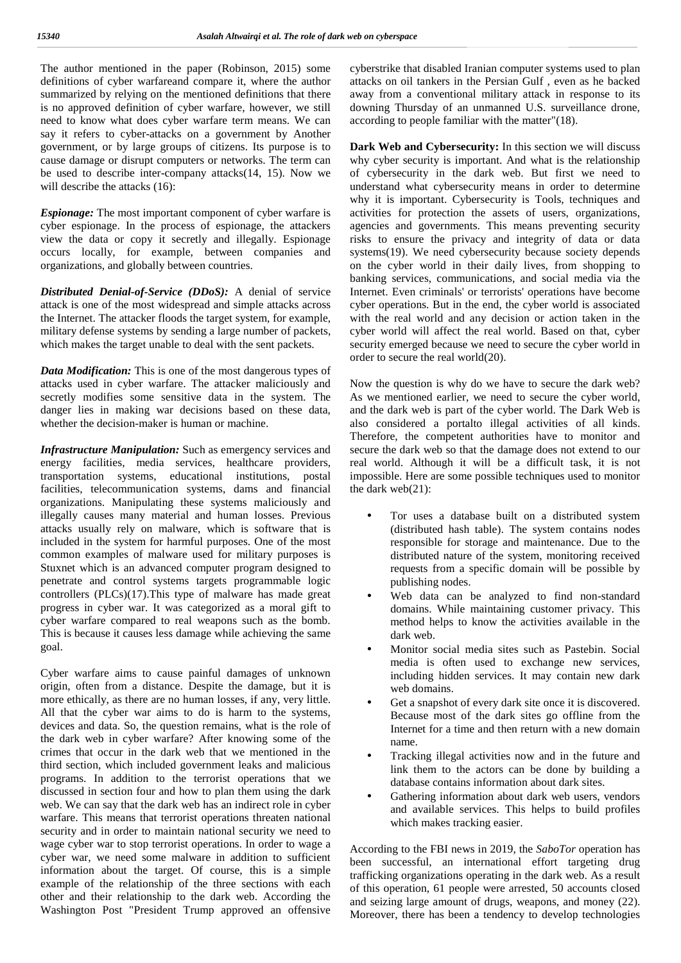The author mentioned in the paper (Robinson, 2015) some definitions of cyber warfareand compare it, where the author summarized by relying on the mentioned definitions that there is no approved definition of cyber warfare, however, we still need to know what does cyber warfare term means. We can say it refers to cyber-attacks on a government by Another government, or by large groups of citizens. Its purpose is to cause damage or disrupt computers or networks. The term can be used to describe inter-company attacks(14, 15). Now we will describe the attacks (16):

*Espionage:* The most important component of cyber warfare is cyber espionage. In the process of espionage, the attackers view the data or copy it secretly and illegally. Espionage occurs locally, for example, between companies and organizations, and globally between countries.

*Distributed Denial-of-Service (DDoS):* A denial of service attack is one of the most widespread and simple attacks across the Internet. The attacker floods the target system, for example, military defense systems by sending a large number of packets, which makes the target unable to deal with the sent packets.

*Data Modification:* This is one of the most dangerous types of attacks used in cyber warfare. The attacker maliciously and secretly modifies some sensitive data in the system. The danger lies in making war decisions based on these data, whether the decision-maker is human or machine.

*Infrastructure Manipulation:* Such as emergency services and energy facilities, media services, healthcare providers, transportation systems, educational institutions, postal facilities, telecommunication systems, dams and financial organizations. Manipulating these systems maliciously and illegally causes many material and human losses. Previous attacks usually rely on malware, which is software that is included in the system for harmful purposes. One of the most common examples of malware used for military purposes is Stuxnet which is an advanced computer program designed to penetrate and control systems targets programmable logic controllers (PLCs)(17).This type of malware has made great progress in cyber war. It was categorized as a moral gift to cyber warfare compared to real weapons such as the bomb. This is because it causes less damage while achieving the same goal.

Cyber warfare aims to cause painful damages of unknown origin, often from a distance. Despite the damage, but it is more ethically, as there are no human losses, if any, very little. All that the cyber war aims to do is harm to the systems, devices and data. So, the question remains, what is the role of the dark web in cyber warfare? After knowing some of the crimes that occur in the dark web that we mentioned in the third section, which included government leaks and malicious programs. In addition to the terrorist operations that we discussed in section four and how to plan them using the dark web. We can say that the dark web has an indirect role in cyber warfare. This means that terrorist operations threaten national security and in order to maintain national security we need to wage cyber war to stop terrorist operations. In order to wage a cyber war, we need some malware in addition to sufficient information about the target. Of course, this is a simple example of the relationship of the three sections with each other and their relationship to the dark web. According the Washington Post "President Trump approved an offensive

cyberstrike that disabled Iranian computer systems used to plan attacks on oil tankers in the Persian Gulf , even as he backed away from a conventional military attack in response to its downing Thursday of an unmanned U.S. surveillance drone, according to people familiar with the matter"(18).

**Dark Web and Cybersecurity:** In this section we will discuss why cyber security is important. And what is the relationship of cybersecurity in the dark web. But first we need to understand what cybersecurity means in order to determine why it is important. Cybersecurity is Tools, techniques and activities for protection the assets of users, organizations, agencies and governments. This means preventing security risks to ensure the privacy and integrity of data or data systems(19). We need cybersecurity because society depends on the cyber world in their daily lives, from shopping to banking services, communications, and social media via the Internet. Even criminals' or terrorists' operations have become cyber operations. But in the end, the cyber world is associated with the real world and any decision or action taken in the cyber world will affect the real world. Based on that, cyber security emerged because we need to secure the cyber world in order to secure the real world(20).

Now the question is why do we have to secure the dark web? As we mentioned earlier, we need to secure the cyber world, and the dark web is part of the cyber world. The Dark Web is also considered a portalto illegal activities of all kinds. Therefore, the competent authorities have to monitor and secure the dark web so that the damage does not extend to our real world. Although it will be a difficult task, it is not impossible. Here are some possible techniques used to monitor the dark web(21):

- Tor uses a database built on a distributed system (distributed hash table). The system contains nodes responsible for storage and maintenance. Due to the distributed nature of the system, monitoring received requests from a specific domain will be possible by publishing nodes.
- Web data can be analyzed to find non-standard domains. While maintaining customer privacy. This method helps to know the activities available in the dark web.
- Monitor social media sites such as Pastebin. Social media is often used to exchange new services, including hidden services. It may contain new dark web domains.
- Get a snapshot of every dark site once it is discovered. Because most of the dark sites go offline from the Internet for a time and then return with a new domain name.
- Tracking illegal activities now and in the future and link them to the actors can be done by building a database contains information about dark sites.
- Gathering information about dark web users, vendors and available services. This helps to build profiles which makes tracking easier.

According to the FBI news in 2019, the *SaboTor* operation has been successful, an international effort targeting drug trafficking organizations operating in the dark web. As a result of this operation, 61 people were arrested, 50 accounts closed and seizing large amount of drugs, weapons, and money (22). Moreover, there has been a tendency to develop technologies